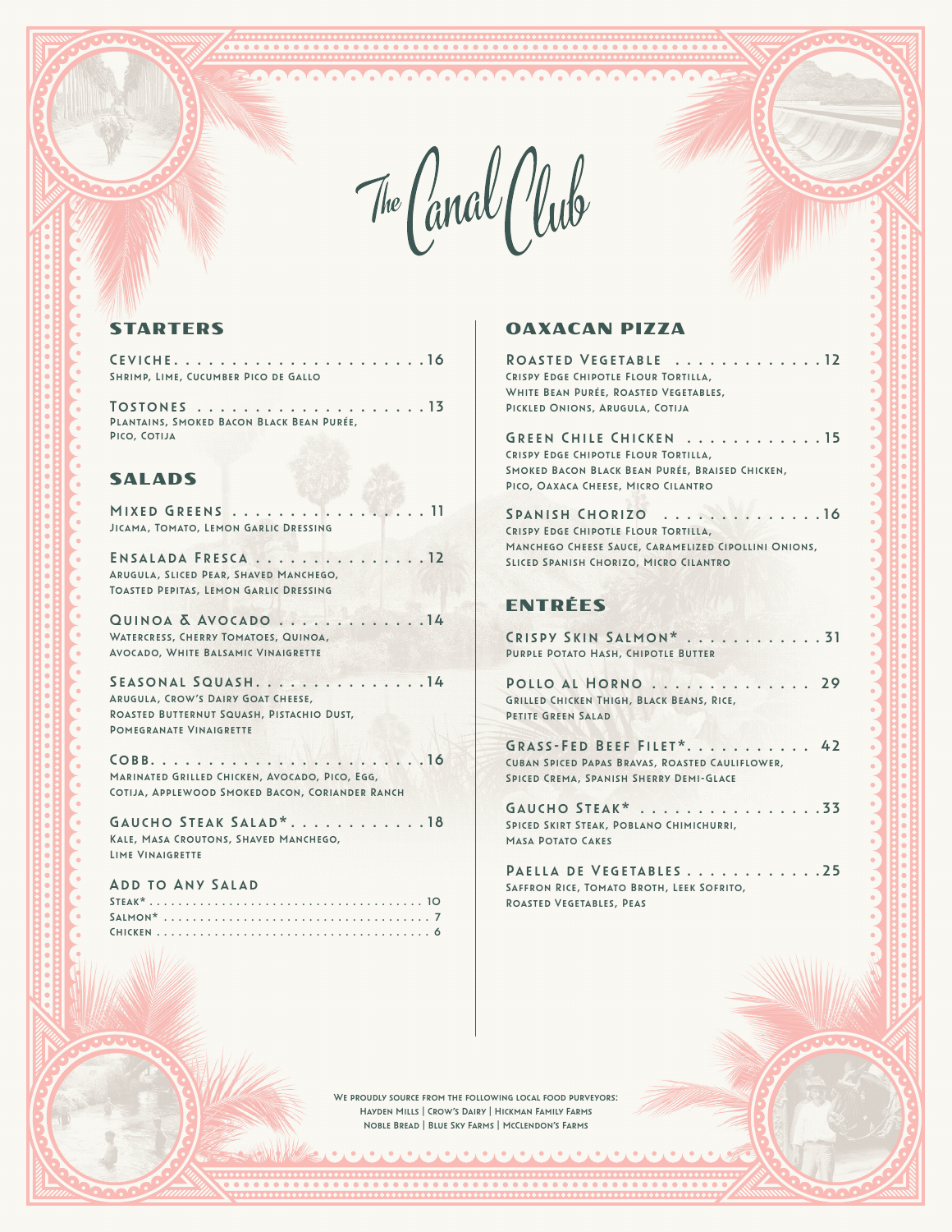۰. Υ., ▼.

**Televeletele** 

The Canal Club

# STARTERS

Ceviche . . . . . . . . . . . . . . . . . . . . . 16 Shrimp, Lime, Cucumber Pico de Gallo

Tostones . . . . . . . . . . . . . . . . . . . 13 Plantains, Smoked Bacon Black Bean Purée, Pico, Cotija

### SALADS

MIXED GREENS . . . . . . . . . . . . . . . . . 11 Jicama, Tomato, Lemon Garlic Dressing

ENSALADA FRESCA . . . . . . . . . . . . . . 12 Arugula, Sliced Pear, Shaved Manchego, Toasted Pepitas, Lemon Garlic Dressing

Quinoa & Avocado . . . . . . . . . . . . 14 Watercress, Cherry Tomatoes, Quinoa, Avocado, White Balsamic Vinaigrette

SEASONAL SQUASH. . . . . . . . . . . . . . . 14 Arugula, Crow's Dairy Goat Cheese, ROASTED BUTTERNUT SQUASH, PISTACHIO DUST, Pomegranate Vinaigrette

Cobb . . . . . . . . . . . . . . . . . . . . . . . 16 Marinated Grilled Chicken, Avocado, Pico, Egg, Cotija, Applewood Smoked Bacon, Coriander Ranch

GAUCHO STEAK SALAD\*............18 Kale, Masa Croutons, Shaved Manchego, Lime Vinaigrette

| .<br>ADD TO ANY SALAD |
|-----------------------|
|                       |
|                       |
|                       |

### OAXACAN PIZZA

| ROASTED VEGETABLE 12<br>CRISPY EDGE CHIPOTLE FLOUR TORTILLA,<br>WHITE BEAN PURÉE, ROASTED VEGETABLES,<br>PICKLED ONIONS, ARUGULA, COTIJA                                   |
|----------------------------------------------------------------------------------------------------------------------------------------------------------------------------|
| GREEN CHILE CHICKEN 15<br>CRISPY EDGE CHIPOTLE FLOUR TORTILLA,<br>SMOKED BACON BLACK BEAN PURÉE, BRAISED CHICKEN,<br>PICO, OAXACA CHEESE, MICRO CILANTRO                   |
| SPANISH CHORIZO<br>$\ldots$ . 16<br>CRISPY EDGE CHIPOTLE FLOUR TORTILLA.<br>MANCHEGO CHEESE SAUCE, CARAMELIZED CIPOLLINI ONIONS,<br>SLICED SPANISH CHORIZO, MICRO CILANTRO |
| ENTRÉES                                                                                                                                                                    |
| CRISPY SKIN SALMON* 31<br>PURPLE POTATO HASH, CHIPOTLE BUTTER                                                                                                              |
| POLLO AL HORNO  29<br>GRILLED CHICKEN THIGH, BLACK BEANS, RICE,<br>PETITE GREEN SALAD                                                                                      |
| GRASS-FED BEEF FILET* 42<br>CUBAN SPICED PAPAS BRAVAS, ROASTED CAULIFLOWER,<br>SPICED CREMA, SPANISH SHERRY DEMI-GLACE                                                     |
| . 33<br>GAUCHO STEAK*<br>SPICED SKIRT STEAK, POBLANO CHIMICHURRI,<br><b>MASA POTATO CAKES</b>                                                                              |
| PAELLA DE VEGETABLES25<br>SAFFRON RICE, TOMATO BROTH, LEEK SOFRITO,<br>ROASTED VEGETABLES, PEAS                                                                            |

We proudly source from the following local food purveyors: Hayden Mills | Crow's Dairy | Hickman Family Farms Noble Bread | Blue Sky Farms | McClendon's Farms

A PARA ARABA DA PARA A PARA